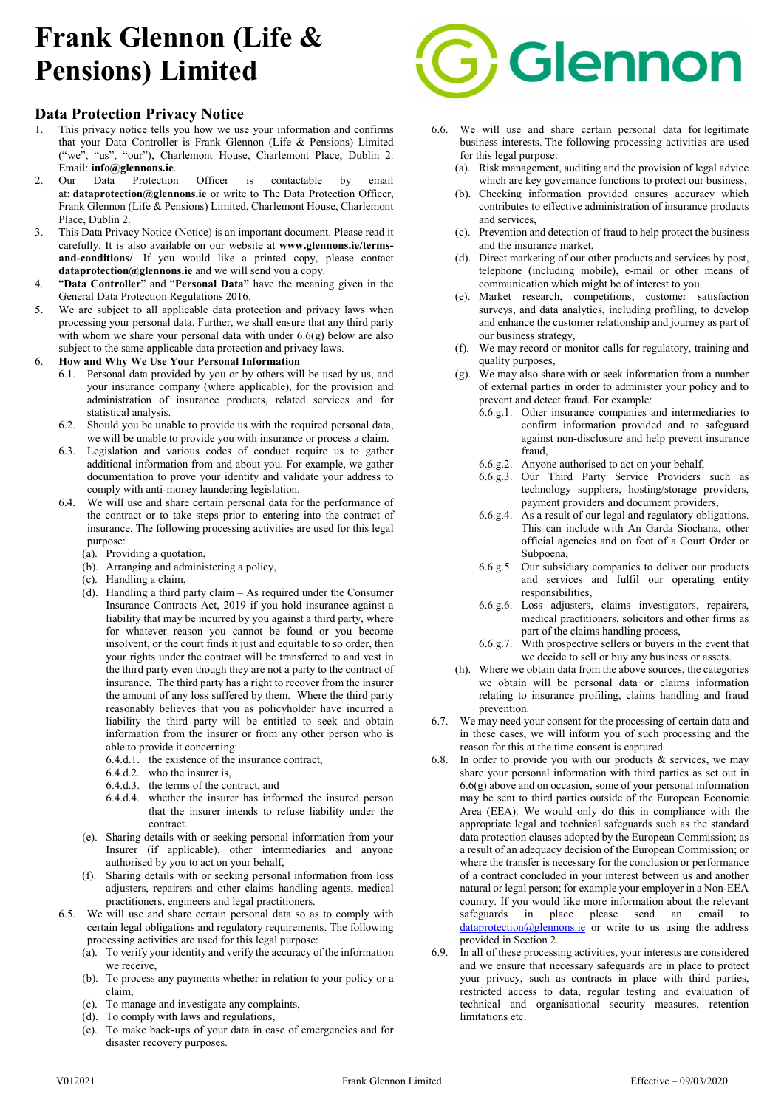# Frank Glennon (Life & Pensions) Limited

# Data Protection Privacy Notice

- 1. This privacy notice tells you how we use your information and confirms that your Data Controller is Frank Glennon (Life & Pensions) Limited ("we", "us", "our"), Charlemont House, Charlemont Place, Dublin 2. Email: info@glennons.ie.
- 2. Our Data Protection Officer is contactable by email at: dataprotection@glennons.ie or write to The Data Protection Officer, Frank Glennon (Life & Pensions) Limited, Charlemont House, Charlemont Place, Dublin 2.
- 3. This Data Privacy Notice (Notice) is an important document. Please read it carefully. It is also available on our website at www.glennons.ie/termsand-conditions/. If you would like a printed copy, please contact dataprotection@glennons.ie and we will send you a copy.
- 4. "Data Controller" and "Personal Data" have the meaning given in the General Data Protection Regulations 2016.
- 5. We are subject to all applicable data protection and privacy laws when processing your personal data. Further, we shall ensure that any third party with whom we share your personal data with under 6.6(g) below are also subject to the same applicable data protection and privacy laws.
- 6. How and Why We Use Your Personal Information
	- 6.1. Personal data provided by you or by others will be used by us, and your insurance company (where applicable), for the provision and administration of insurance products, related services and for statistical analysis.
	- 6.2. Should you be unable to provide us with the required personal data, we will be unable to provide you with insurance or process a claim.
	- 6.3. Legislation and various codes of conduct require us to gather additional information from and about you. For example, we gather documentation to prove your identity and validate your address to comply with anti-money laundering legislation.
	- 6.4. We will use and share certain personal data for the performance of the contract or to take steps prior to entering into the contract of insurance. The following processing activities are used for this legal purpose:
		- (a). Providing a quotation,
		- (b). Arranging and administering a policy,
		- (c). Handling a claim,
		- (d). Handling a third party claim As required under the Consumer Insurance Contracts Act, 2019 if you hold insurance against a liability that may be incurred by you against a third party, where for whatever reason you cannot be found or you become insolvent, or the court finds it just and equitable to so order, then your rights under the contract will be transferred to and vest in the third party even though they are not a party to the contract of insurance. The third party has a right to recover from the insurer the amount of any loss suffered by them. Where the third party reasonably believes that you as policyholder have incurred a liability the third party will be entitled to seek and obtain information from the insurer or from any other person who is able to provide it concerning:
			- 6.4.d.1. the existence of the insurance contract,
			- 6.4.d.2. who the insurer is,
			- 6.4.d.3. the terms of the contract, and
			- 6.4.d.4. whether the insurer has informed the insured person that the insurer intends to refuse liability under the contract.
		- (e). Sharing details with or seeking personal information from your Insurer (if applicable), other intermediaries and anyone authorised by you to act on your behalf,
		- (f). Sharing details with or seeking personal information from loss adjusters, repairers and other claims handling agents, medical practitioners, engineers and legal practitioners.
	- 6.5. We will use and share certain personal data so as to comply with certain legal obligations and regulatory requirements. The following processing activities are used for this legal purpose:
		- (a). To verify your identity and verify the accuracy of the information we receive,
		- (b). To process any payments whether in relation to your policy or a claim,
		- (c). To manage and investigate any complaints,
		- (d). To comply with laws and regulations,
		- (e). To make back-ups of your data in case of emergencies and for disaster recovery purposes.



- 6.6. We will use and share certain personal data for legitimate business interests. The following processing activities are used for this legal purpose:
	- (a). Risk management, auditing and the provision of legal advice which are key governance functions to protect our business,
	- (b). Checking information provided ensures accuracy which contributes to effective administration of insurance products and services,
	- (c). Prevention and detection of fraud to help protect the business and the insurance market,
	- (d). Direct marketing of our other products and services by post, telephone (including mobile), e-mail or other means of communication which might be of interest to you.
	- (e). Market research, competitions, customer satisfaction surveys, and data analytics, including profiling, to develop and enhance the customer relationship and journey as part of our business strategy,
	- (f). We may record or monitor calls for regulatory, training and quality purposes,
	- (g). We may also share with or seek information from a number of external parties in order to administer your policy and to prevent and detect fraud. For example:
		- 6.6.g.1. Other insurance companies and intermediaries to confirm information provided and to safeguard against non-disclosure and help prevent insurance fraud,
		- 6.6.g.2. Anyone authorised to act on your behalf,
		- 6.6.g.3. Our Third Party Service Providers such as technology suppliers, hosting/storage providers, payment providers and document providers,
		- 6.6.g.4. As a result of our legal and regulatory obligations. This can include with An Garda Siochana, other official agencies and on foot of a Court Order or Subpoena,
		- 6.6.g.5. Our subsidiary companies to deliver our products and services and fulfil our operating entity responsibilities,
		- 6.6.g.6. Loss adjusters, claims investigators, repairers, medical practitioners, solicitors and other firms as part of the claims handling process,
		- 6.6.g.7. With prospective sellers or buyers in the event that we decide to sell or buy any business or assets.
	- (h). Where we obtain data from the above sources, the categories we obtain will be personal data or claims information relating to insurance profiling, claims handling and fraud prevention.
- 6.7. We may need your consent for the processing of certain data and in these cases, we will inform you of such processing and the reason for this at the time consent is captured
- 6.8. In order to provide you with our products  $\&$  services, we may share your personal information with third parties as set out in 6.6(g) above and on occasion, some of your personal information may be sent to third parties outside of the European Economic Area (EEA). We would only do this in compliance with the appropriate legal and technical safeguards such as the standard data protection clauses adopted by the European Commission; as a result of an adequacy decision of the European Commission; or where the transfer is necessary for the conclusion or performance of a contract concluded in your interest between us and another natural or legal person; for example your employer in a Non-EEA country. If you would like more information about the relevant safeguards in place please send an email to dataprotection@glennons.ie or write to us using the address provided in Section 2.
- 6.9. In all of these processing activities, your interests are considered and we ensure that necessary safeguards are in place to protect your privacy, such as contracts in place with third parties, restricted access to data, regular testing and evaluation of technical and organisational security measures, retention limitations etc.